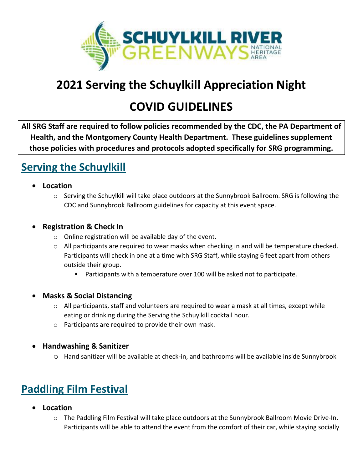

# **2021 Serving the Schuylkill Appreciation Night**

# **COVID GUIDELINES**

**All SRG Staff are required to follow policies recommended by the CDC, the PA Department of Health, and the Montgomery County Health Department. These guidelines supplement those policies with procedures and protocols adopted specifically for SRG programming.**

### **Serving the Schuylkill**

- **Location**
	- o Serving the Schuylkill will take place outdoors at the Sunnybrook Ballroom. SRG is following the CDC and Sunnybrook Ballroom guidelines for capacity at this event space.

### • **Registration & Check In**

- o Online registration will be available day of the event.
- o All participants are required to wear masks when checking in and will be temperature checked. Participants will check in one at a time with SRG Staff, while staying 6 feet apart from others outside their group.
	- Participants with a temperature over 100 will be asked not to participate.
- **Masks & Social Distancing** 
	- o All participants, staff and volunteers are required to wear a mask at all times, except while eating or drinking during the Serving the Schuylkill cocktail hour.
	- o Participants are required to provide their own mask.
- **Handwashing & Sanitizer** 
	- o Hand sanitizer will be available at check-in, and bathrooms will be available inside Sunnybrook

# **Paddling Film Festival**

- **Location**
	- o The Paddling Film Festival will take place outdoors at the Sunnybrook Ballroom Movie Drive-In. Participants will be able to attend the event from the comfort of their car, while staying socially